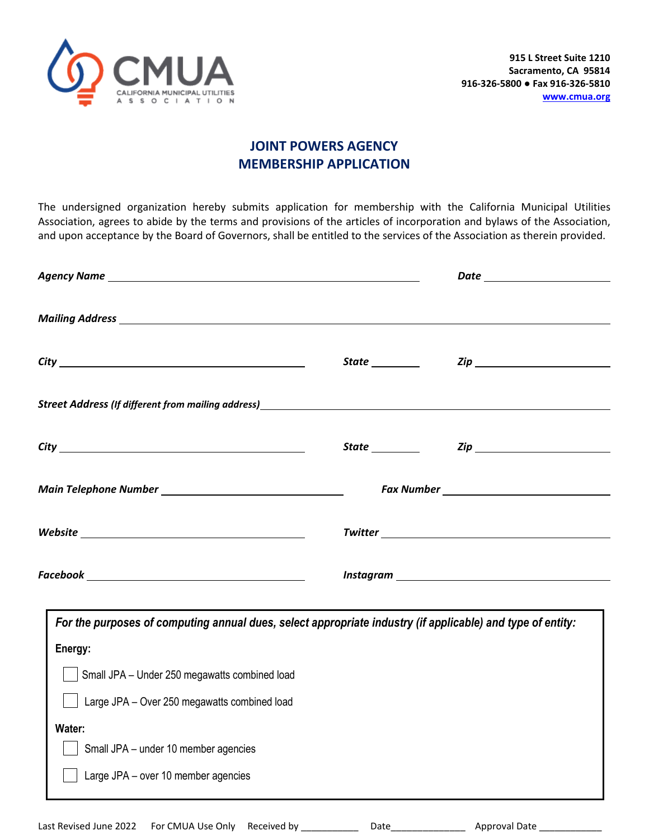

## **JOINT POWERS AGENCY MEMBERSHIP APPLICATION**

The undersigned organization hereby submits application for membership with the California Municipal Utilities Association, agrees to abide by the terms and provisions of the articles of incorporation and bylaws of the Association, and upon acceptance by the Board of Governors, shall be entitled to the services of the Association as therein provided.

| Street Address (If different from mailing address)<br>Street Address (If different from mailing address)                                                                                                                                                                                                                                                                                                                                                                                                                                              |  |
|-------------------------------------------------------------------------------------------------------------------------------------------------------------------------------------------------------------------------------------------------------------------------------------------------------------------------------------------------------------------------------------------------------------------------------------------------------------------------------------------------------------------------------------------------------|--|
|                                                                                                                                                                                                                                                                                                                                                                                                                                                                                                                                                       |  |
|                                                                                                                                                                                                                                                                                                                                                                                                                                                                                                                                                       |  |
| ${\it Website} \begin{tabular}{l} \textbf{\textit{w}} & \textbf{\textit{w}} \\ \textbf{\textit{w}} & \textbf{\textit{w}} \\ \textbf{\textit{w}} & \textbf{\textit{w}} \\ \textbf{\textit{w}} & \textbf{\textit{w}} \\ \textbf{\textit{w}} & \textbf{\textit{w}} \\ \textbf{\textit{w}} & \textbf{\textit{w}} \\ \textbf{\textit{w}} & \textbf{\textit{w}} \\ \textbf{\textit{w}} & \textbf{\textit{w}} \\ \textbf{\textit{w}} & \textbf{\textit{w}} \\ \textbf{\textit{w}} & \textbf{\textit{w}} \\ \textbf{\textit{w$                                |  |
| $\textit{Facebook} \underline{\hspace{2.5cm}} \underline{\hspace{2.5cm}} \qquad \qquad \underline{\hspace{2.5cm}} \qquad \qquad \underline{\hspace{2.5cm}} \qquad \qquad \underline{\hspace{2.5cm}} \qquad \qquad \underline{\hspace{2.5cm}} \qquad \qquad \underline{\hspace{2.5cm}} \qquad \qquad \underline{\hspace{2.5cm}} \qquad \qquad \underline{\hspace{2.5cm}} \qquad \qquad \underline{\hspace{2.5cm}} \qquad \qquad \underline{\hspace{2.5cm}} \qquad \qquad \underline{\hspace{2.5cm}} \qquad \qquad \underline{\hspace{2.5cm}} \qquad \$ |  |
| For the purposes of computing annual dues, select appropriate industry (if applicable) and type of entity:<br>Energy:                                                                                                                                                                                                                                                                                                                                                                                                                                 |  |
| Small JPA - Under 250 megawatts combined load                                                                                                                                                                                                                                                                                                                                                                                                                                                                                                         |  |
| Large JPA - Over 250 megawatts combined load                                                                                                                                                                                                                                                                                                                                                                                                                                                                                                          |  |
| Water:<br>Small JPA - under 10 member agencies<br>Large JPA - over 10 member agencies                                                                                                                                                                                                                                                                                                                                                                                                                                                                 |  |